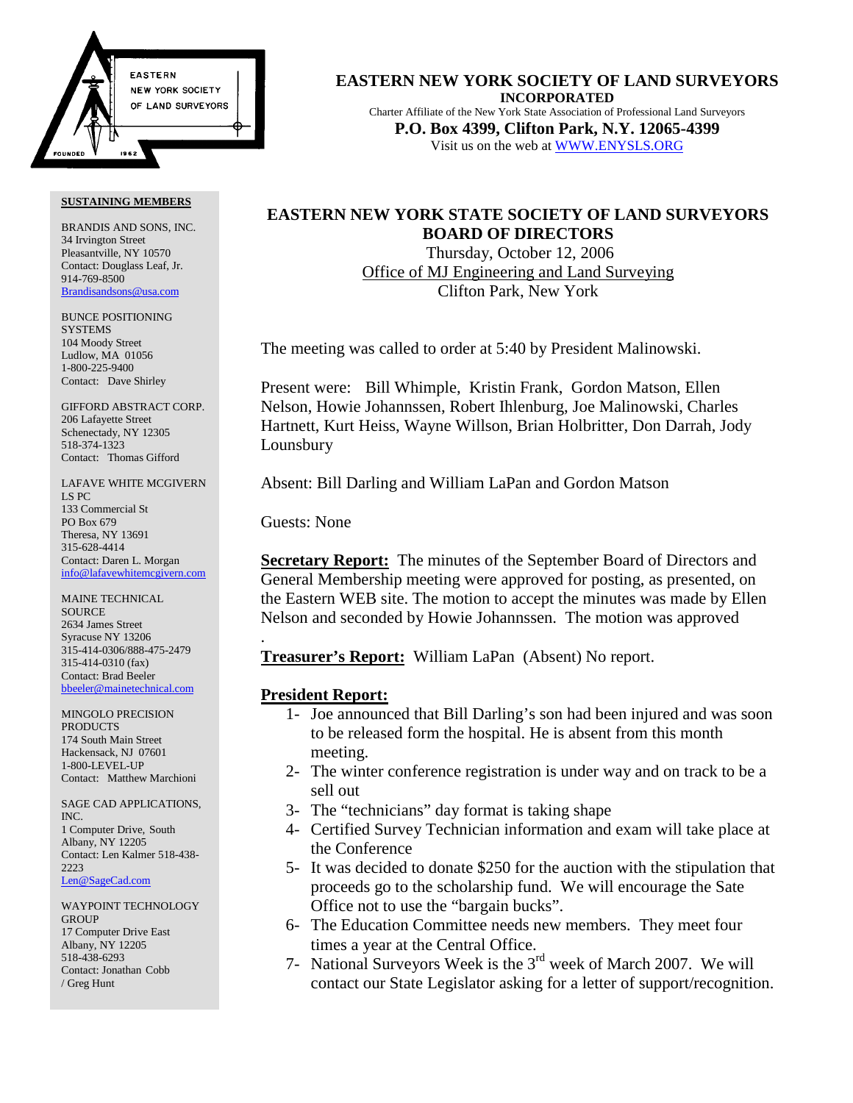

#### **SUSTAINING MEMBERS**

BRANDIS AND SONS, INC. 34 Irvington Street Pleasantville, NY 10570 Contact: Douglass Leaf, Jr. 914-769-8500 Brandisandsons@usa.com

BUNCE POSITIONING **SYSTEMS** 104 Moody Street Ludlow, MA 01056 1-800-225-9400 Contact: Dave Shirley

GIFFORD ABSTRACT CORP. 206 Lafayette Street Schenectady, NY 12305 518-374-1323 Contact: Thomas Gifford

LAFAVE WHITE MCGIVERN LS PC 133 Commercial St PO Box 679 Theresa, NY 13691 315-628-4414 Contact: Daren L. Morgan info@lafavewhitemcgivern.com

MAINE TECHNICAL **SOURCE** 2634 James Street Syracuse NY 13206 315-414-0306/888-475-2479 315-414-0310 (fax) Contact: Brad Beeler bbeeler@mainetechnical.com

MINGOLO PRECISION PRODUCTS 174 South Main Street Hackensack, NJ 07601 1-800-LEVEL-UP Contact: Matthew Marchioni

SAGE CAD APPLICATIONS, INC. 1 Computer Drive, South Albany, NY 12205 Contact: Len Kalmer 518-438- 2223 Len@SageCad.com

WAYPOINT TECHNOLOGY **GROUP** 17 Computer Drive East Albany, NY 12205 518-438-6293 Contact: Jonathan Cobb / Greg Hunt

**EASTERN NEW YORK SOCIETY OF LAND SURVEYORS INCORPORATED** Charter Affiliate of the New York State Association of Professional Land Surveyors **P.O. Box 4399, Clifton Park, N.Y. 12065-4399** Visit us on the web at WWW.ENYSLS.ORG

## **EASTERN NEW YORK STATE SOCIETY OF LAND SURVEYORS BOARD OF DIRECTORS**

 Thursday, October 12, 2006 Office of MJ Engineering and Land Surveying Clifton Park, New York

The meeting was called to order at 5:40 by President Malinowski.

Present were: Bill Whimple, Kristin Frank, Gordon Matson, Ellen Nelson, Howie Johannssen, Robert Ihlenburg, Joe Malinowski, Charles Hartnett, Kurt Heiss, Wayne Willson, Brian Holbritter, Don Darrah, Jody Lounsbury

Absent: Bill Darling and William LaPan and Gordon Matson

Guests: None

.

**Secretary Report:** The minutes of the September Board of Directors and General Membership meeting were approved for posting, as presented, on the Eastern WEB site. The motion to accept the minutes was made by Ellen Nelson and seconded by Howie Johannssen. The motion was approved

**Treasurer's Report:** William LaPan (Absent) No report.

## **President Report:**

- 1- Joe announced that Bill Darling's son had been injured and was soon to be released form the hospital. He is absent from this month meeting.
- 2- The winter conference registration is under way and on track to be a sell out
- 3- The "technicians" day format is taking shape
- 4- Certified Survey Technician information and exam will take place at the Conference
- 5- It was decided to donate \$250 for the auction with the stipulation that proceeds go to the scholarship fund. We will encourage the Sate Office not to use the "bargain bucks".
- 6- The Education Committee needs new members. They meet four times a year at the Central Office.
- 7- National Surveyors Week is the 3rd week of March 2007. We will contact our State Legislator asking for a letter of support/recognition.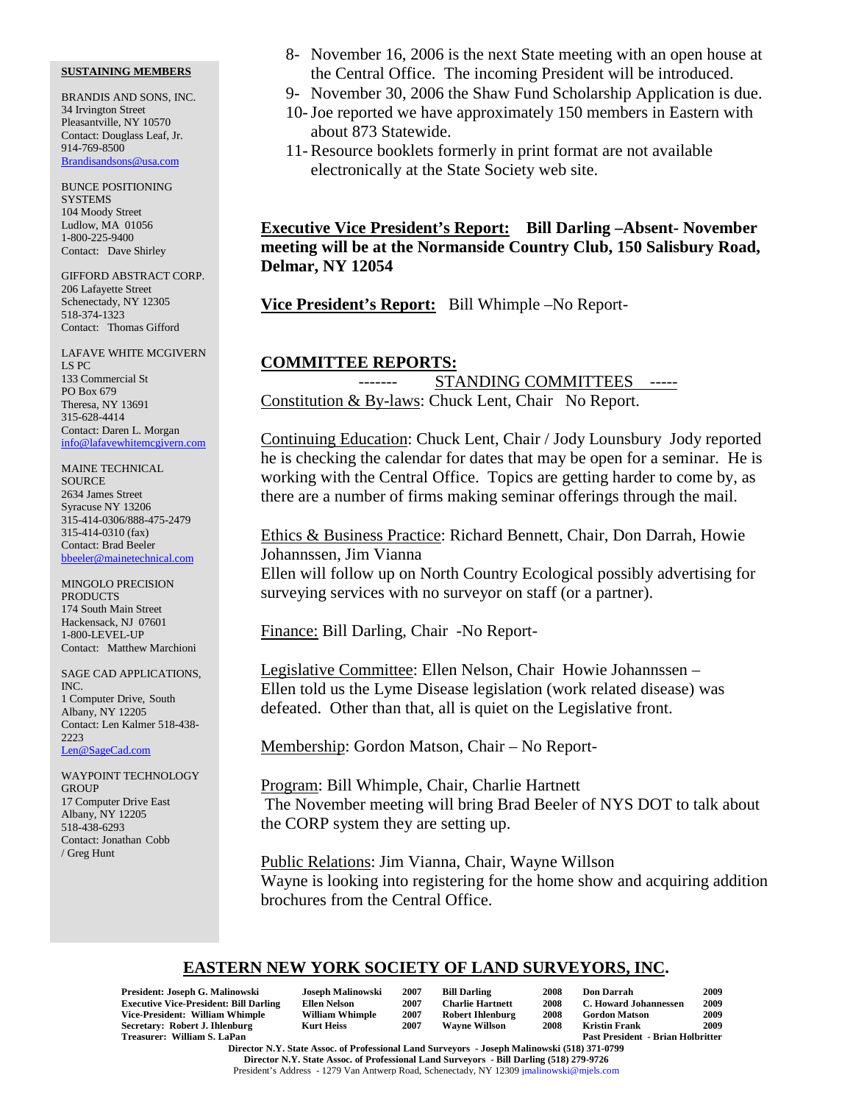### **SUSTAINING MEMBERS**

BRANDIS AND SONS, INC. 34 Irvington Street Pleasantville, NY 10570 Contact: Douglass Leaf, Jr. 914-769-8500 Brandisandsons@usa.com

BUNCE POSITIONING **SYSTEMS** 104 Moody Street Ludlow, MA 01056 1-800-225-9400 Contact: Dave Shirley

GIFFORD ABSTRACT CORP. 206 Lafayette Street Schenectady, NY 12305 518-374-1323 Contact: Thomas Gifford

LAFAVE WHITE MCGIVERN LS PC 133 Commercial St PO Box 679 Theresa, NY 13691 315-628-4414 Contact: Daren L. Morgan info@lafavewhitemcgivern.com

MAINE TECHNICAL SOURCE 2634 James Street Syracuse NY 13206 315-414-0306/888-475-2479 315-414-0310 (fax) Contact: Brad Beeler bbeeler@mainetechnical.com

MINGOLO PRECISION **PRODUCTS** 174 South Main Street Hackensack, NJ 07601 1-800-LEVEL-UP Contact: Matthew Marchioni

SAGE CAD APPLICATIONS, INC. 1 Computer Drive, South Albany, NY 12205 Contact: Len Kalmer 518-438- 2223 Len@SageCad.com

WAYPOINT TECHNOLOGY **GROUP** 17 Computer Drive East Albany, NY 12205 518-438-6293 Contact: Jonathan Cobb / Greg Hunt

- 8- November 16, 2006 is the next State meeting with an open house at the Central Office. The incoming President will be introduced.
- 9- November 30, 2006 the Shaw Fund Scholarship Application is due.
- 10-Joe reported we have approximately 150 members in Eastern with about 873 Statewide.
- 11- Resource booklets formerly in print format are not available electronically at the State Society web site.

**Executive Vice President's Report: Bill Darling –Absent- November meeting will be at the Normanside Country Club, 150 Salisbury Road, Delmar, NY 12054**

**Vice President's Report:** Bill Whimple –No Report-

### **COMMITTEE REPORTS:**

STANDING COMMITTEES -----Constitution & By-laws: Chuck Lent, Chair No Report.

Continuing Education: Chuck Lent, Chair / Jody Lounsbury Jody reported he is checking the calendar for dates that may be open for a seminar. He is working with the Central Office. Topics are getting harder to come by, as there are a number of firms making seminar offerings through the mail.

# Ethics & Business Practice: Richard Bennett, Chair, Don Darrah, Howie Johannssen, Jim Vianna

Ellen will follow up on North Country Ecological possibly advertising for surveying services with no surveyor on staff (or a partner).

Finance: Bill Darling, Chair -No Report-

Legislative Committee: Ellen Nelson, Chair Howie Johannssen – Ellen told us the Lyme Disease legislation (work related disease) was defeated. Other than that, all is quiet on the Legislative front.

Membership: Gordon Matson, Chair – No Report-

Program: Bill Whimple, Chair, Charlie Hartnett The November meeting will bring Brad Beeler of NYS DOT to talk about the CORP system they are setting up.

Public Relations: Jim Vianna, Chair, Wayne Willson Wayne is looking into registering for the home show and acquiring addition brochures from the Central Office.

## **EASTERN NEW YORK SOCIETY OF LAND SURVEYORS, INC.**

| President: Joseph G. Malinowski               | Joseph Malinowski      | 2007 | <b>Bill Darling</b>     | 2008 | <b>Don Darrah</b>                        | 2009 |
|-----------------------------------------------|------------------------|------|-------------------------|------|------------------------------------------|------|
| <b>Executive Vice-President: Bill Darling</b> | Ellen Nelson           | 2007 | <b>Charlie Hartnett</b> | 2008 | C. Howard Johannessen                    | 2009 |
| Vice-President: William Whimple               | <b>William Whimple</b> | 2007 | <b>Robert Ihlenburg</b> | 2008 | <b>Gordon Matson</b>                     | 2009 |
| Secretary: Robert J. Ihlenburg                | <b>Kurt Heiss</b>      | 2007 | <b>Wavne Willson</b>    | 2008 | Kristin Frank                            | 2009 |
| Treasurer: William S. LaPan                   |                        |      |                         |      | <b>Past President - Brian Holbritter</b> |      |

**Director N.Y. State Assoc. of Professional Land Surveyors - Joseph Malinowski (518) 371-0799 Director N.Y. State Assoc. of Professional Land Surveyors - Bill Darling (518) 279-9726** President's Address - 1279 Van Antwerp Road, Schenectady, NY 12309 jmalinowski@mjels.com